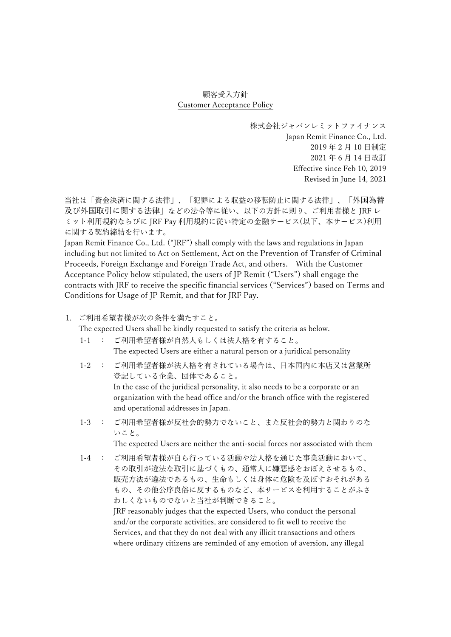## 顧客受入方針 Customer Acceptance Policy

株式会社ジャパンレミットファイナンス Japan Remit Finance Co., Ltd. 2019 年 2 月 10 日制定 2021 年 6 月 14 日改訂 Effective since Feb 10, 2019 Revised in June 14, 2021

当社は「資金決済に関する法律」、「犯罪による収益の移転防止に関する法律」、「外国為替 及び外国取引に関する法律」などの法令等に従い、以下の方針に則り、ご利用者様と JRF レ ミット利用規約ならびに JRF Pay 利用規約に従い特定の金融サービス(以下、本サービス)利用 に関する契約締結を行います。

Japan Remit Finance Co., Ltd. ("JRF") shall comply with the laws and regulations in Japan including but not limited to Act on Settlement, Act on the Prevention of Transfer of Criminal Proceeds, Foreign Exchange and Foreign Trade Act, and others. With the Customer Acceptance Policy below stipulated, the users of JP Remit ("Users") shall engage the contracts with JRF to receive the specific financial services ("Services") based on Terms and Conditions for Usage of JP Remit, and that for JRF Pay.

1. ご利用希望者様が次の条件を満たすこと。

The expected Users shall be kindly requested to satisfy the criteria as below.

- 1-1 : ご利用希望者様が自然人もしくは法人格を有すること。 The expected Users are either a natural person or a juridical personality
- 1-2 : ご利用希望者様が法人格を有されている場合は、日本国内に本店又は営業所 登記している企業、団体であること。 In the case of the juridical personality, it also needs to be a corporate or an organization with the head office and/or the branch office with the registered and operational addresses in Japan.
- 1-3 : ご利用希望者様が反社会的勢力でないこと、また反社会的勢力と関わりのな いこと。

The expected Users are neither the anti-social forces nor associated with them

1-4 : ご利用希望者様が自ら行っている活動や法人格を通じた事業活動において、 その取引が違法な取引に基づくもの、通常人に嫌悪感をおぼえさせるもの、 販売方法が違法であるもの、生命もしくは身体に危険を及ぼすおそれがある もの、その他公序良俗に反するものなど、本サービスを利用することがふさ わしくないものでないと当社が判断できること。

JRF reasonably judges that the expected Users, who conduct the personal and/or the corporate activities, are considered to fit well to receive the Services, and that they do not deal with any illicit transactions and others where ordinary citizens are reminded of any emotion of aversion, any illegal